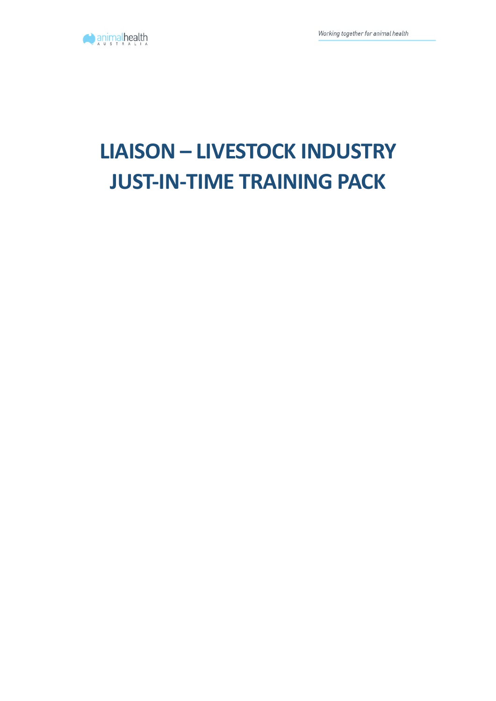

# **LIAISON – LIVESTOCK INDUSTRY JUST-IN-TIME TRAINING PACK**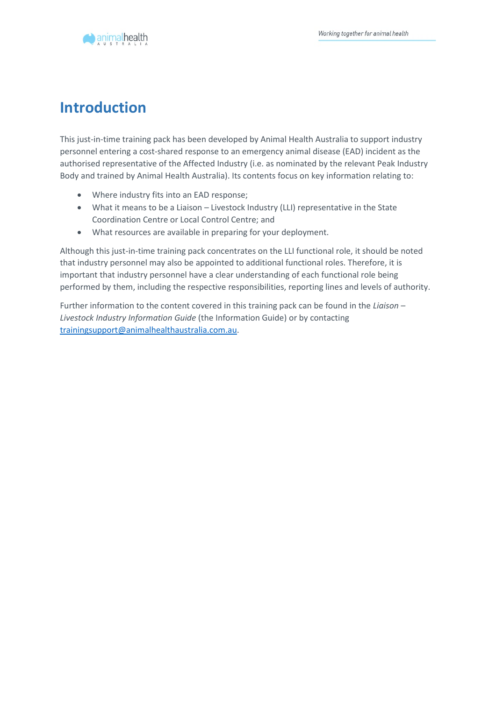

## **Introduction**

This just-in-time training pack has been developed by Animal Health Australia to support industry personnel entering a cost-shared response to an emergency animal disease (EAD) incident as the authorised representative of the Affected Industry (i.e. as nominated by the relevant Peak Industry Body and trained by Animal Health Australia). Its contents focus on key information relating to:

- Where industry fits into an EAD response;
- What it means to be a Liaison Livestock Industry (LLI) representative in the State Coordination Centre or Local Control Centre; and
- What resources are available in preparing for your deployment.

Although this just-in-time training pack concentrates on the LLI functional role, it should be noted that industry personnel may also be appointed to additional functional roles. Therefore, it is important that industry personnel have a clear understanding of each functional role being performed by them, including the respective responsibilities, reporting lines and levels of authority.

Further information to the content covered in this training pack can be found in the *Liaison – Livestock Industry Information Guide* (the Information Guide) or by contacting [trainingsupport@animalhealthaustralia.com.au.](mailto:trainingsupport@animalhealthaustralia.com.au)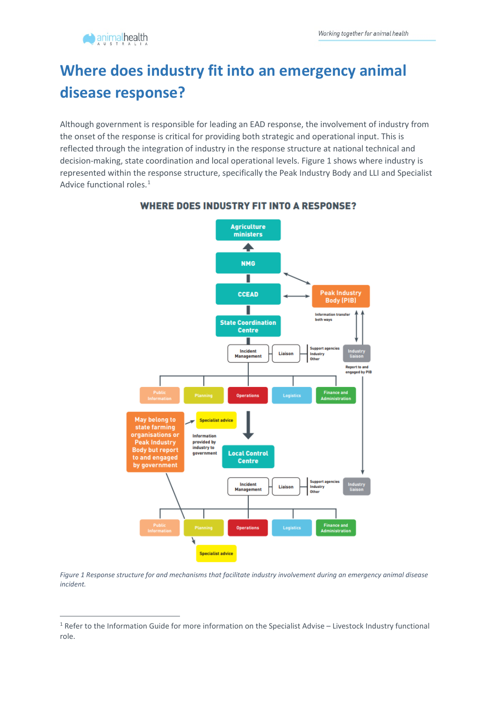## **Where does industry fit into an emergency animal disease response?**

Although government is responsible for leading an EAD response, the involvement of industry from the onset of the response is critical for providing both strategic and operational input. This is reflected through the integration of industry in the response structure at national technical and decision-making, state coordination and local operational levels. Figure 1 shows where industry is represented within the response structure, specifically the Peak Industry Body and LLI and Specialist Advice functional roles.<sup>[1](#page-2-0)</sup>



#### **WHERE DOES INDUSTRY FIT INTO A RESPONSE?**

*Figure 1 Response structure for and mechanisms that facilitate industry involvement during an emergency animal disease incident.*

<span id="page-2-0"></span><sup>&</sup>lt;sup>1</sup> Refer to the Information Guide for more information on the Specialist Advise – Livestock Industry functional role.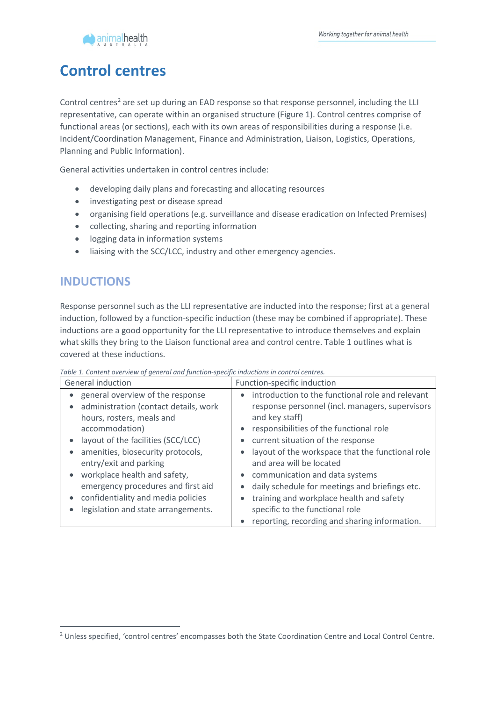

### **Control centres**

Control centres<sup>2</sup> are set up during an EAD response so that response personnel, including the LLI representative, can operate within an organised structure (Figure 1). Control centres comprise of functional areas (or sections), each with its own areas of responsibilities during a response (i.e. Incident/Coordination Management, Finance and Administration, Liaison, Logistics, Operations, Planning and Public Information).

General activities undertaken in control centres include:

- developing daily plans and forecasting and allocating resources
- investigating pest or disease spread
- organising field operations (e.g. surveillance and disease eradication on Infected Premises)
- collecting, sharing and reporting information
- logging data in information systems
- liaising with the SCC/LCC, industry and other emergency agencies.

#### **INDUCTIONS**

Response personnel such as the LLI representative are inducted into the response; first at a general induction, followed by a function-specific induction (these may be combined if appropriate). These inductions are a good opportunity for the LLI representative to introduce themselves and explain what skills they bring to the Liaison functional area and control centre. Table 1 outlines what is covered at these inductions.

| General induction                     | Function-specific induction                      |
|---------------------------------------|--------------------------------------------------|
| general overview of the response      | introduction to the functional role and relevant |
| administration (contact details, work | response personnel (incl. managers, supervisors  |
| hours, rosters, meals and             | and key staff)                                   |
| accommodation)                        | responsibilities of the functional role<br>٠     |
| layout of the facilities (SCC/LCC)    | current situation of the response                |
| amenities, biosecurity protocols,     | layout of the workspace that the functional role |
| entry/exit and parking                | and area will be located                         |
| workplace health and safety,          | communication and data systems                   |
| emergency procedures and first aid    | daily schedule for meetings and briefings etc.   |
| confidentiality and media policies    | training and workplace health and safety         |
| legislation and state arrangements.   | specific to the functional role                  |
|                                       | reporting, recording and sharing information.    |

*Table 1. Content overview of general and function-specific inductions in control centres.*

<span id="page-3-0"></span><sup>2</sup> Unless specified, 'control centres' encompasses both the State Coordination Centre and Local Control Centre.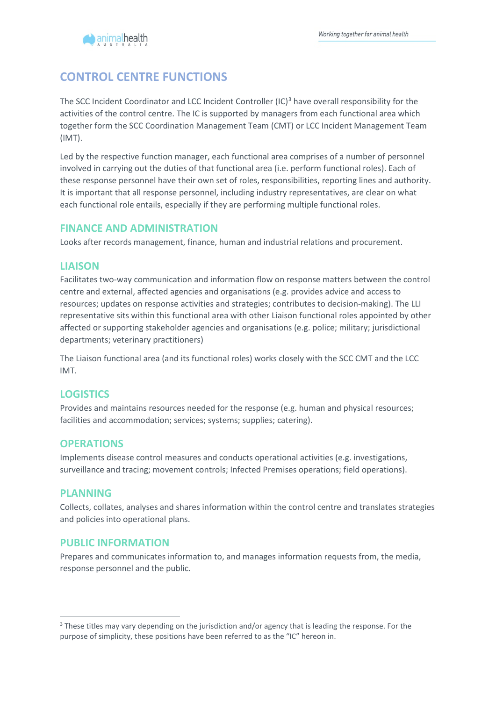#### **CONTROL CENTRE FUNCTIONS**

The SCC Incident Coordinator and LCC Incident Controller (IC)<sup>[3](#page-4-0)</sup> have overall responsibility for the activities of the control centre. The IC is supported by managers from each functional area which together form the SCC Coordination Management Team (CMT) or LCC Incident Management Team (IMT).

Led by the respective function manager, each functional area comprises of a number of personnel involved in carrying out the duties of that functional area (i.e. perform functional roles). Each of these response personnel have their own set of roles, responsibilities, reporting lines and authority. It is important that all response personnel, including industry representatives, are clear on what each functional role entails, especially if they are performing multiple functional roles.

#### **FINANCE AND ADMINISTRATION**

Looks after records management, finance, human and industrial relations and procurement.

#### **LIAISON**

Facilitates two-way communication and information flow on response matters between the control centre and external, affected agencies and organisations (e.g. provides advice and access to resources; updates on response activities and strategies; contributes to decision-making). The LLI representative sits within this functional area with other Liaison functional roles appointed by other affected or supporting stakeholder agencies and organisations (e.g. police; military; jurisdictional departments; veterinary practitioners)

The Liaison functional area (and its functional roles) works closely with the SCC CMT and the LCC IMT.

#### **LOGISTICS**

Provides and maintains resources needed for the response (e.g. human and physical resources; facilities and accommodation; services; systems; supplies; catering).

#### **OPERATIONS**

Implements disease control measures and conducts operational activities (e.g. investigations, surveillance and tracing; movement controls; Infected Premises operations; field operations).

#### **PLANNING**

Collects, collates, analyses and shares information within the control centre and translates strategies and policies into operational plans.

#### **PUBLIC INFORMATION**

Prepares and communicates information to, and manages information requests from, the media, response personnel and the public.

<span id="page-4-0"></span><sup>&</sup>lt;sup>3</sup> These titles may vary depending on the jurisdiction and/or agency that is leading the response. For the purpose of simplicity, these positions have been referred to as the "IC" hereon in.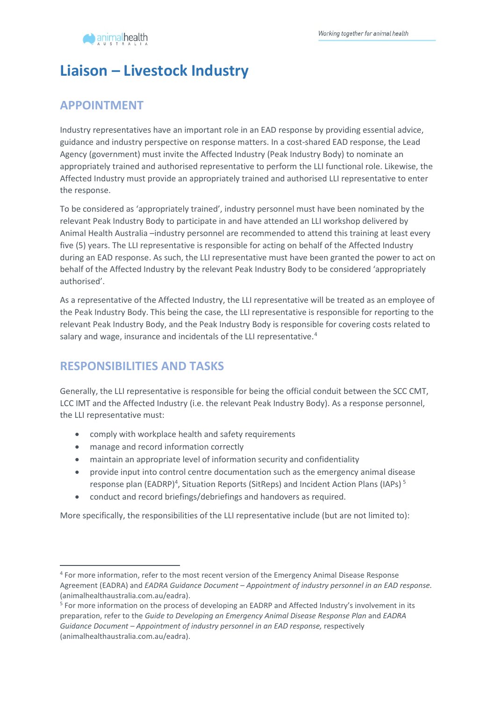

## **Liaison – Livestock Industry**

#### **APPOINTMENT**

Industry representatives have an important role in an EAD response by providing essential advice, guidance and industry perspective on response matters. In a cost-shared EAD response, the Lead Agency (government) must invite the Affected Industry (Peak Industry Body) to nominate an appropriately trained and authorised representative to perform the LLI functional role. Likewise, the Affected Industry must provide an appropriately trained and authorised LLI representative to enter the response.

To be considered as 'appropriately trained', industry personnel must have been nominated by the relevant Peak Industry Body to participate in and have attended an LLI workshop delivered by Animal Health Australia –industry personnel are recommended to attend this training at least every five (5) years. The LLI representative is responsible for acting on behalf of the Affected Industry during an EAD response. As such, the LLI representative must have been granted the power to act on behalf of the Affected Industry by the relevant Peak Industry Body to be considered 'appropriately authorised'.

As a representative of the Affected Industry, the LLI representative will be treated as an employee of the Peak Industry Body. This being the case, the LLI representative is responsible for reporting to the relevant Peak Industry Body, and the Peak Industry Body is responsible for covering costs related to salary and wage, insurance and incidentals of the LLI representative.<sup>[4](#page-5-0)</sup>

#### **RESPONSIBILITIES AND TASKS**

Generally, the LLI representative is responsible for being the official conduit between the SCC CMT, LCC IMT and the Affected Industry (i.e. the relevant Peak Industry Body). As a response personnel, the LLI representative must:

- comply with workplace health and safety requirements
- manage and record information correctly
- maintain an appropriate level of information security and confidentiality
- provide input into control centre documentation such as the emergency animal disease response plan (EADRP)<sup>4</sup>, Situation Reports (SitReps) and Incident Action Plans (IAPs)<sup>[5](#page-5-1)</sup>
- conduct and record briefings/debriefings and handovers as required.

More specifically, the responsibilities of the LLI representative include (but are not limited to):

<span id="page-5-0"></span><sup>4</sup> For more information, refer to the most recent version of the Emergency Animal Disease Response Agreement (EADRA) and *EADRA Guidance Document – Appointment of industry personnel in an EAD response.*  (animalhealthaustralia.com.au/eadra).

<span id="page-5-1"></span><sup>5</sup> For more information on the process of developing an EADRP and Affected Industry's involvement in its preparation, refer to the *Guide to Developing an Emergency Animal Disease Response Plan* and *EADRA Guidance Document – Appointment of industry personnel in an EAD response,* respectively (animalhealthaustralia.com.au/eadra).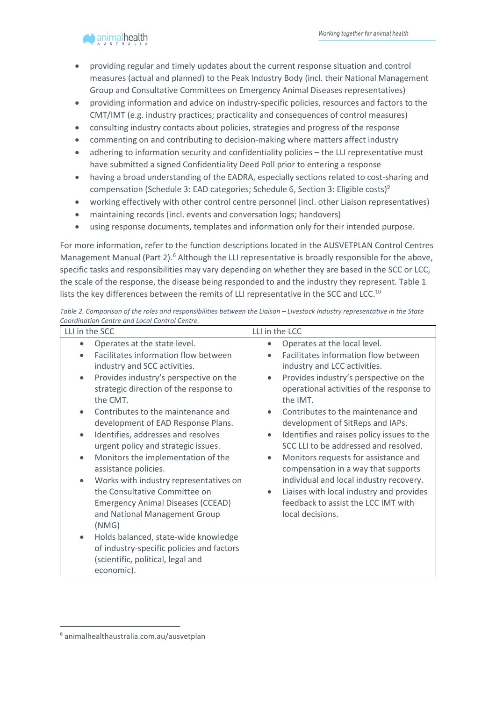

- providing regular and timely updates about the current response situation and control measures (actual and planned) to the Peak Industry Body (incl. their National Management Group and Consultative Committees on Emergency Animal Diseases representatives)
- providing information and advice on industry-specific policies, resources and factors to the CMT/IMT (e.g. industry practices; practicality and consequences of control measures)
- consulting industry contacts about policies, strategies and progress of the response
- commenting on and contributing to decision-making where matters affect industry
- adhering to information security and confidentiality policies the LLI representative must have submitted a signed Confidentiality Deed Poll prior to entering a response
- having a broad understanding of the EADRA, especially sections related to cost-sharing and compensation (Schedule 3: EAD categories; Schedule 6, Section 3: Eligible costs)<sup>9</sup>
- working effectively with other control centre personnel (incl. other Liaison representatives)
- maintaining records (incl. events and conversation logs; handovers)
- using response documents, templates and information only for their intended purpose.

For more information, refer to the function descriptions located in the AUSVETPLAN Control Centres Management Manual (Part 2).<sup>[6](#page-6-0)</sup> Although the LLI representative is broadly responsible for the above, specific tasks and responsibilities may vary depending on whether they are based in the SCC or LCC, the scale of the response, the disease being responded to and the industry they represent. Table 1 lists the key differences between the remits of LLI representative in the SCC and LCC.<sup>10</sup>

| LLI in the SCC                                                                                                                                                                                                                                                                                                                                                                                                                                                                                                                                                                       | LLI in the LCC                                                                                                                                                                                                                                                                                                                                                                                                                                                                                                                                                                                                               |
|--------------------------------------------------------------------------------------------------------------------------------------------------------------------------------------------------------------------------------------------------------------------------------------------------------------------------------------------------------------------------------------------------------------------------------------------------------------------------------------------------------------------------------------------------------------------------------------|------------------------------------------------------------------------------------------------------------------------------------------------------------------------------------------------------------------------------------------------------------------------------------------------------------------------------------------------------------------------------------------------------------------------------------------------------------------------------------------------------------------------------------------------------------------------------------------------------------------------------|
| Operates at the state level.<br>$\bullet$<br>Facilitates information flow between<br>industry and SCC activities.<br>Provides industry's perspective on the<br>$\bullet$<br>strategic direction of the response to<br>the CMT.<br>Contributes to the maintenance and<br>$\bullet$<br>development of EAD Response Plans.<br>Identifies, addresses and resolves<br>$\bullet$<br>urgent policy and strategic issues.<br>Monitors the implementation of the<br>$\bullet$<br>assistance policies.<br>Works with industry representatives on<br>$\bullet$<br>the Consultative Committee on | Operates at the local level.<br>$\bullet$<br>Facilitates information flow between<br>industry and LCC activities.<br>Provides industry's perspective on the<br>$\bullet$<br>operational activities of the response to<br>the IMT.<br>Contributes to the maintenance and<br>$\bullet$<br>development of SitReps and IAPs.<br>Identifies and raises policy issues to the<br>$\bullet$<br>SCC LLI to be addressed and resolved.<br>Monitors requests for assistance and<br>$\bullet$<br>compensation in a way that supports<br>individual and local industry recovery.<br>Liaises with local industry and provides<br>$\bullet$ |
| <b>Emergency Animal Diseases (CCEAD)</b><br>and National Management Group<br>(NMG)                                                                                                                                                                                                                                                                                                                                                                                                                                                                                                   | feedback to assist the LCC IMT with<br>local decisions.                                                                                                                                                                                                                                                                                                                                                                                                                                                                                                                                                                      |
| Holds balanced, state-wide knowledge<br>$\bullet$<br>of industry-specific policies and factors<br>(scientific, political, legal and<br>economic).                                                                                                                                                                                                                                                                                                                                                                                                                                    |                                                                                                                                                                                                                                                                                                                                                                                                                                                                                                                                                                                                                              |

*Table 2. Comparison of the roles and responsibilities between the Liaison – Livestock Industry representative in the State Coordination Centre and Local Control Centre.*

<span id="page-6-0"></span><sup>6</sup> animalhealthaustralia.com.au/ausvetplan